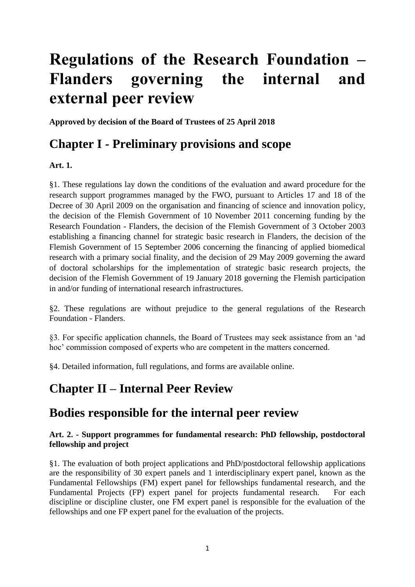# **Regulations of the Research Foundation – Flanders governing the internal and external peer review**

**Approved by decision of the Board of Trustees of 25 April 2018**

### **Chapter I - Preliminary provisions and scope**

#### **Art. 1.**

§1. These regulations lay down the conditions of the evaluation and award procedure for the research support programmes managed by the FWO, pursuant to Articles 17 and 18 of the Decree of 30 April 2009 on the organisation and financing of science and innovation policy, the decision of the Flemish Government of 10 November 2011 concerning funding by the Research Foundation - Flanders, the decision of the Flemish Government of 3 October 2003 establishing a financing channel for strategic basic research in Flanders, the decision of the Flemish Government of 15 September 2006 concerning the financing of applied biomedical research with a primary social finality, and the decision of 29 May 2009 governing the award of doctoral scholarships for the implementation of strategic basic research projects, the decision of the Flemish Government of 19 January 2018 governing the Flemish participation in and/or funding of international research infrastructures.

§2. These regulations are without prejudice to the general regulations of the Research Foundation - Flanders.

§3. For specific application channels, the Board of Trustees may seek assistance from an 'ad hoc' commission composed of experts who are competent in the matters concerned.

§4. Detailed information, full regulations, and forms are available online.

## **Chapter II – Internal Peer Review**

### **Bodies responsible for the internal peer review**

#### **Art. 2. - Support programmes for fundamental research: PhD fellowship, postdoctoral fellowship and project**

§1. The evaluation of both project applications and PhD/postdoctoral fellowship applications are the responsibility of 30 expert panels and 1 interdisciplinary expert panel, known as the Fundamental Fellowships (FM) expert panel for fellowships fundamental research, and the Fundamental Projects (FP) expert panel for projects fundamental research. For each discipline or discipline cluster, one FM expert panel is responsible for the evaluation of the fellowships and one FP expert panel for the evaluation of the projects.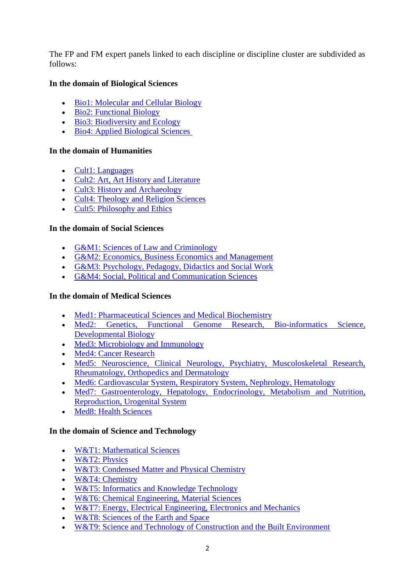The FP and FM expert panels linked to each discipline or discipline cluster are subdivided as follows:

#### **In the domain of Biological Sciences**

- [Bio1: Molecular and Cellular Biology](http://www.fwo.be/nl/het-fwo/organisatie/fwo-expertpanels/gebied-biologische-wetenschappen/bio1-moleculaire-en-cellulaire-biologie/)
- [Bio2: Functional Biology](http://www.fwo.be/nl/het-fwo/organisatie/fwo-expertpanels/gebied-biologische-wetenschappen/bio2-functionele-biologie/)
- [Bio3: Biodiversity and Ecology](http://www.fwo.be/nl/het-fwo/organisatie/fwo-expertpanels/gebied-biologische-wetenschappen/bio3-biodiversiteit-en-ecologie/)
- [Bio4: Applied Biological Sciences](http://www.fwo.be/nl/het-fwo/organisatie/fwo-expertpanels/gebied-biologische-wetenschappen/bio4-toegepaste-biologische-wetenschappen/)

#### **In the domain of Humanities**

- [Cult1: Languages](http://www.fwo.be/nl/het-fwo/organisatie/fwo-expertpanels/gebied-cultuurwetenschappen/cult1-taal/)
- [Cult2: Art, Art History and Literature](http://www.fwo.be/nl/het-fwo/organisatie/fwo-expertpanels/gebied-cultuurwetenschappen/cult2-kunsten-en-literatuur/)
- [Cult3: History and Archaeology](http://www.fwo.be/nl/het-fwo/organisatie/fwo-expertpanels/gebied-cultuurwetenschappen/cult3-geschiedenis-kunstgeschiedenis-en-archeologie/)
- [Cult4: Theology and Religion Sciences](http://www.fwo.be/nl/het-fwo/organisatie/fwo-expertpanels/gebied-cultuurwetenschappen/cult4-theologie-en-religiewetenschappen/)
- [Cult5: Philosophy and Ethics](http://www.fwo.be/nl/het-fwo/organisatie/fwo-expertpanels/gebied-cultuurwetenschappen/cult5-filosofie-en-ethiek/)

#### **In the domain of Social Sciences**

- [G&M1: Sciences of Law and Criminology](http://www.fwo.be/nl/het-fwo/organisatie/fwo-expertpanels/gebied-gedrags-en-maatschappijwetenschappen/gm1-rechtswetenschappen-en-criminologie/)
- G&M2: Economics, Business Economics and Management
- [G&M3: Psychology, Pedagogy, Didactics and Social Work](http://www.fwo.be/nl/het-fwo/organisatie/fwo-expertpanels/gebied-gedrags-en-maatschappijwetenschappen/gm3-psychologie-pedagogiek-onderwijskunde-en-sociaal-werk/)
- [G&M4: Social, Political and Communication Sciences](http://www.fwo.be/nl/het-fwo/organisatie/fwo-expertpanels/gebied-gedrags-en-maatschappijwetenschappen/gm4-sociale-politieke-en-communicatiewetenschappen/)

#### **In the domain of Medical Sciences**

- [Med1: Pharmaceutical Sciences and Medical Biochemistry](http://www.fwo.be/nl/het-fwo/organisatie/fwo-expertpanels/gebied-medische-wetenschappen/med1-farmaceutische-wetenschappen-en-medische-biochemie/)
- Med2: [Genetics, Functional Genome Research, Bio-informatics Science,](http://www.fwo.be/nl/het-fwo/organisatie/fwo-expertpanels/gebied-medische-wetenschappen/med2-genetica-functioneel-genoomonderzoek-bio-informatica-ontwikkelingsbiologie/)  [Developmental Biology](http://www.fwo.be/nl/het-fwo/organisatie/fwo-expertpanels/gebied-medische-wetenschappen/med2-genetica-functioneel-genoomonderzoek-bio-informatica-ontwikkelingsbiologie/)
- [Med3: Microbiology and Immunology](http://www.fwo.be/nl/het-fwo/organisatie/fwo-expertpanels/gebied-medische-wetenschappen/med3-microbiologie-en-immunologie/)
- [Med4: Cancer Research](http://www.fwo.be/nl/het-fwo/organisatie/fwo-expertpanels/gebied-medische-wetenschappen/med4-kankeronderzoek/)
- [Med5: Neuroscience, Clinical Neurology, Psychiatry, Muscoloskeletal Research,](http://www.fwo.be/nl/het-fwo/organisatie/fwo-expertpanels/gebied-medische-wetenschappen/med5-neurowetenschappen-klinische-neurologie-psychiatrie-musculoskeletaal-onderzoek-reumatologie-orthopedie-en-dermatologie/)  [Rheumatology, Orthopedics and Dermatology](http://www.fwo.be/nl/het-fwo/organisatie/fwo-expertpanels/gebied-medische-wetenschappen/med5-neurowetenschappen-klinische-neurologie-psychiatrie-musculoskeletaal-onderzoek-reumatologie-orthopedie-en-dermatologie/)
- [Med6: Cardiovascular System, Respiratory System, Nephrology, Hematology](http://www.fwo.be/nl/het-fwo/organisatie/fwo-expertpanels/gebied-medische-wetenschappen/med6-cardiovasculair-systeem-ademhalingssysteem-nefrologie-hematologie/)
- [Med7: Gastroenterology, Hepatology, Endocrinology, Metabolism and Nutrition,](http://www.fwo.be/nl/het-fwo/organisatie/fwo-expertpanels/gebied-medische-wetenschappen/med7-gastro-enterologie-hepatologie-endocrinologie-metabolisme-en-voeding-reproductie-urogenitaal-systeem/)  [Reproduction, Urogenital System](http://www.fwo.be/nl/het-fwo/organisatie/fwo-expertpanels/gebied-medische-wetenschappen/med7-gastro-enterologie-hepatologie-endocrinologie-metabolisme-en-voeding-reproductie-urogenitaal-systeem/)
- [Med8: Health Sciences](http://www.fwo.be/nl/het-fwo/organisatie/fwo-expertpanels/gebied-medische-wetenschappen/med8-gezondheidswetenschappen/)

#### **In the domain of Science and Technology**

- [W&T1: Mathematical Sciences](http://www.fwo.be/nl/het-fwo/organisatie/fwo-expertpanels/gebied-wetenschap-en-technologie/wt1-wiskundige-wetenschappen/)
- [W&T2: Physics](http://www.fwo.be/nl/het-fwo/organisatie/fwo-expertpanels/gebied-wetenschap-en-technologie/wt2-fysica/)
- [W&T3: Condensed Matter and Physical Chemistry](http://www.fwo.be/nl/het-fwo/organisatie/fwo-expertpanels/gebied-wetenschap-en-technologie/wt3-gecondenseerde-materie-en-fysische-chemie/)
- [W&T4: Chemistry](http://www.fwo.be/nl/het-fwo/organisatie/fwo-expertpanels/gebied-wetenschap-en-technologie/wt4-chemie/)
- [W&T5: Informatics and Knowledge Technology](http://www.fwo.be/nl/het-fwo/organisatie/fwo-expertpanels/gebied-wetenschap-en-technologie/wt5-informatica-en-kennistechnologie/)
- [W&T6: Chemical Engineering, Material Sciences](http://www.fwo.be/nl/het-fwo/organisatie/fwo-expertpanels/gebied-wetenschap-en-technologie/wt6-chemische-ingenieurstechnieken-materiaalkunde/)
- [W&T7: Energy, Electrical Engineering, Electronics and Mechanics](http://www.fwo.be/nl/het-fwo/organisatie/fwo-expertpanels/gebied-wetenschap-en-technologie/wt7-energie-elektrotechniek-elektronica-en-werktuigkunde/)
- [W&T8: Sciences of the Earth and Space](http://www.fwo.be/nl/het-fwo/organisatie/fwo-expertpanels/gebied-wetenschap-en-technologie/wt8-wetenschappen-van-de-aarde-en-de-ruimte/)
- W&T9: Science and Technology of Construction and the Built Environment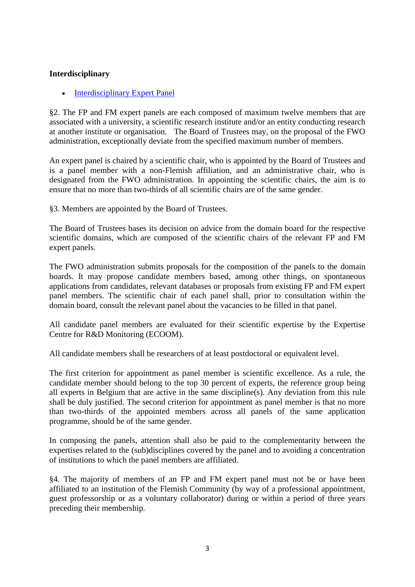#### **Interdisciplinary**

• [Interdisciplinary Expert Panel](http://www.fwo.be/nl/het-fwo/organisatie/fwo-expertpanels/interdisciplinair-expertpanel/)

§2. The FP and FM expert panels are each composed of maximum twelve members that are associated with a university, a scientific research institute and/or an entity conducting research at another institute or organisation. The Board of Trustees may, on the proposal of the FWO administration, exceptionally deviate from the specified maximum number of members.

An expert panel is chaired by a scientific chair, who is appointed by the Board of Trustees and is a panel member with a non-Flemish affiliation, and an administrative chair, who is designated from the FWO administration. In appointing the scientific chairs, the aim is to ensure that no more than two-thirds of all scientific chairs are of the same gender.

§3. Members are appointed by the Board of Trustees.

The Board of Trustees bases its decision on advice from the domain board for the respective scientific domains, which are composed of the scientific chairs of the relevant FP and FM expert panels.

The FWO administration submits proposals for the composition of the panels to the domain boards. It may propose candidate members based, among other things, on spontaneous applications from candidates, relevant databases or proposals from existing FP and FM expert panel members. The scientific chair of each panel shall, prior to consultation within the domain board, consult the relevant panel about the vacancies to be filled in that panel.

All candidate panel members are evaluated for their scientific expertise by the Expertise Centre for R&D Monitoring (ECOOM).

All candidate members shall be researchers of at least postdoctoral or equivalent level.

The first criterion for appointment as panel member is scientific excellence. As a rule, the candidate member should belong to the top 30 percent of experts, the reference group being all experts in Belgium that are active in the same discipline(s). Any deviation from this rule shall be duly justified. The second criterion for appointment as panel member is that no more than two-thirds of the appointed members across all panels of the same application programme, should be of the same gender.

In composing the panels, attention shall also be paid to the complementarity between the expertises related to the (sub)disciplines covered by the panel and to avoiding a concentration of institutions to which the panel members are affiliated.

§4. The majority of members of an FP and FM expert panel must not be or have been affiliated to an institution of the Flemish Community (by way of a professional appointment, guest professorship or as a voluntary collaborator) during or within a period of three years preceding their membership.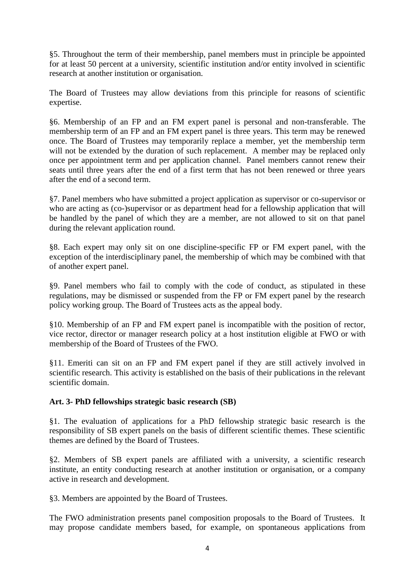§5. Throughout the term of their membership, panel members must in principle be appointed for at least 50 percent at a university, scientific institution and/or entity involved in scientific research at another institution or organisation.

The Board of Trustees may allow deviations from this principle for reasons of scientific expertise.

§6. Membership of an FP and an FM expert panel is personal and non-transferable. The membership term of an FP and an FM expert panel is three years. This term may be renewed once. The Board of Trustees may temporarily replace a member, yet the membership term will not be extended by the duration of such replacement. A member may be replaced only once per appointment term and per application channel. Panel members cannot renew their seats until three years after the end of a first term that has not been renewed or three years after the end of a second term.

§7. Panel members who have submitted a project application as supervisor or co-supervisor or who are acting as (co-)supervisor or as department head for a fellowship application that will be handled by the panel of which they are a member, are not allowed to sit on that panel during the relevant application round.

§8. Each expert may only sit on one discipline-specific FP or FM expert panel, with the exception of the interdisciplinary panel, the membership of which may be combined with that of another expert panel.

§9. Panel members who fail to comply with the code of conduct, as stipulated in these regulations, may be dismissed or suspended from the FP or FM expert panel by the research policy working group. The Board of Trustees acts as the appeal body.

§10. Membership of an FP and FM expert panel is incompatible with the position of rector, vice rector, director or manager research policy at a host institution eligible at FWO or with membership of the Board of Trustees of the FWO.

§11. Emeriti can sit on an FP and FM expert panel if they are still actively involved in scientific research. This activity is established on the basis of their publications in the relevant scientific domain.

#### **Art. 3- PhD fellowships strategic basic research (SB)**

§1. The evaluation of applications for a PhD fellowship strategic basic research is the responsibility of SB expert panels on the basis of different scientific themes. These scientific themes are defined by the Board of Trustees.

§2. Members of SB expert panels are affiliated with a university, a scientific research institute, an entity conducting research at another institution or organisation, or a company active in research and development.

§3. Members are appointed by the Board of Trustees.

The FWO administration presents panel composition proposals to the Board of Trustees. It may propose candidate members based, for example, on spontaneous applications from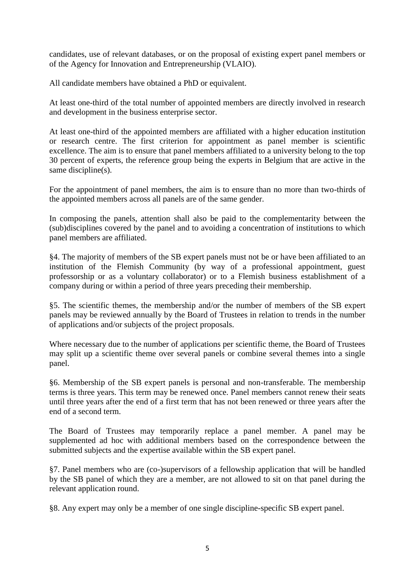candidates, use of relevant databases, or on the proposal of existing expert panel members or of the Agency for Innovation and Entrepreneurship (VLAIO).

All candidate members have obtained a PhD or equivalent.

At least one-third of the total number of appointed members are directly involved in research and development in the business enterprise sector.

At least one-third of the appointed members are affiliated with a higher education institution or research centre. The first criterion for appointment as panel member is scientific excellence. The aim is to ensure that panel members affiliated to a university belong to the top 30 percent of experts, the reference group being the experts in Belgium that are active in the same discipline(s).

For the appointment of panel members, the aim is to ensure than no more than two-thirds of the appointed members across all panels are of the same gender.

In composing the panels, attention shall also be paid to the complementarity between the (sub)disciplines covered by the panel and to avoiding a concentration of institutions to which panel members are affiliated.

§4. The majority of members of the SB expert panels must not be or have been affiliated to an institution of the Flemish Community (by way of a professional appointment, guest professorship or as a voluntary collaborator) or to a Flemish business establishment of a company during or within a period of three years preceding their membership.

§5. The scientific themes, the membership and/or the number of members of the SB expert panels may be reviewed annually by the Board of Trustees in relation to trends in the number of applications and/or subjects of the project proposals.

Where necessary due to the number of applications per scientific theme, the Board of Trustees may split up a scientific theme over several panels or combine several themes into a single panel.

§6. Membership of the SB expert panels is personal and non-transferable. The membership terms is three years. This term may be renewed once. Panel members cannot renew their seats until three years after the end of a first term that has not been renewed or three years after the end of a second term.

The Board of Trustees may temporarily replace a panel member. A panel may be supplemented ad hoc with additional members based on the correspondence between the submitted subjects and the expertise available within the SB expert panel.

§7. Panel members who are (co-)supervisors of a fellowship application that will be handled by the SB panel of which they are a member, are not allowed to sit on that panel during the relevant application round.

§8. Any expert may only be a member of one single discipline-specific SB expert panel.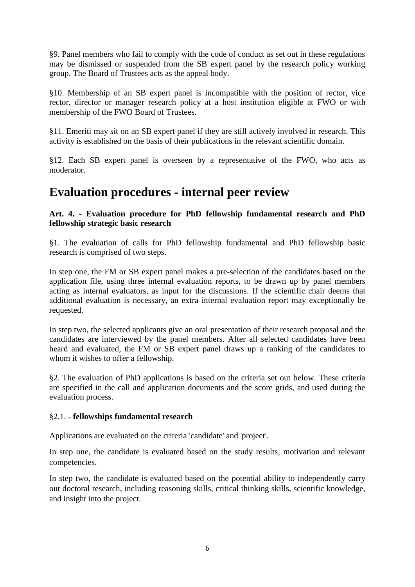§9. Panel members who fail to comply with the code of conduct as set out in these regulations may be dismissed or suspended from the SB expert panel by the research policy working group. The Board of Trustees acts as the appeal body.

§10. Membership of an SB expert panel is incompatible with the position of rector, vice rector, director or manager research policy at a host institution eligible at FWO or with membership of the FWO Board of Trustees.

§11. Emeriti may sit on an SB expert panel if they are still actively involved in research. This activity is established on the basis of their publications in the relevant scientific domain.

§12. Each SB expert panel is overseen by a representative of the FWO, who acts as moderator.

### **Evaluation procedures - internal peer review**

#### **Art. 4. - Evaluation procedure for PhD fellowship fundamental research and PhD fellowship strategic basic research**

§1. The evaluation of calls for PhD fellowship fundamental and PhD fellowship basic research is comprised of two steps.

In step one, the FM or SB expert panel makes a pre-selection of the candidates based on the application file, using three internal evaluation reports, to be drawn up by panel members acting as internal evaluators, as input for the discussions. If the scientific chair deems that additional evaluation is necessary, an extra internal evaluation report may exceptionally be requested.

In step two, the selected applicants give an oral presentation of their research proposal and the candidates are interviewed by the panel members. After all selected candidates have been heard and evaluated, the FM or SB expert panel draws up a ranking of the candidates to whom it wishes to offer a fellowship.

§2. The evaluation of PhD applications is based on the criteria set out below. These criteria are specified in the call and application documents and the score grids, and used during the evaluation process.

#### §2.1. - **fellowships fundamental research**

Applications are evaluated on the criteria 'candidate' and 'project'.

In step one, the candidate is evaluated based on the study results, motivation and relevant competencies.

In step two, the candidate is evaluated based on the potential ability to independently carry out doctoral research, including reasoning skills, critical thinking skills, scientific knowledge, and insight into the project.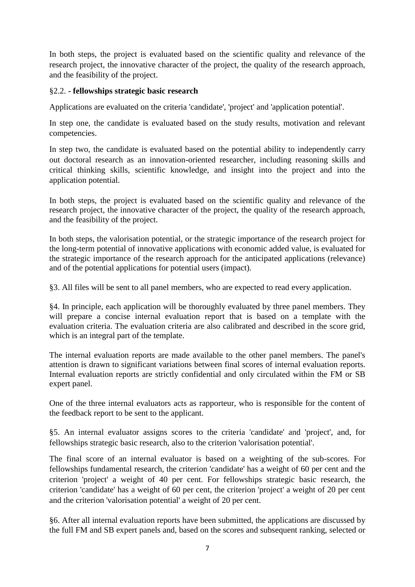In both steps, the project is evaluated based on the scientific quality and relevance of the research project, the innovative character of the project, the quality of the research approach, and the feasibility of the project.

#### §2.2. **- fellowships strategic basic research**

Applications are evaluated on the criteria 'candidate', 'project' and 'application potential'.

In step one, the candidate is evaluated based on the study results, motivation and relevant competencies.

In step two, the candidate is evaluated based on the potential ability to independently carry out doctoral research as an innovation-oriented researcher, including reasoning skills and critical thinking skills, scientific knowledge, and insight into the project and into the application potential.

In both steps, the project is evaluated based on the scientific quality and relevance of the research project, the innovative character of the project, the quality of the research approach, and the feasibility of the project.

In both steps, the valorisation potential, or the strategic importance of the research project for the long-term potential of innovative applications with economic added value, is evaluated for the strategic importance of the research approach for the anticipated applications (relevance) and of the potential applications for potential users (impact).

§3. All files will be sent to all panel members, who are expected to read every application.

§4. In principle, each application will be thoroughly evaluated by three panel members. They will prepare a concise internal evaluation report that is based on a template with the evaluation criteria. The evaluation criteria are also calibrated and described in the score grid, which is an integral part of the template.

The internal evaluation reports are made available to the other panel members. The panel's attention is drawn to significant variations between final scores of internal evaluation reports. Internal evaluation reports are strictly confidential and only circulated within the FM or SB expert panel.

One of the three internal evaluators acts as rapporteur, who is responsible for the content of the feedback report to be sent to the applicant.

§5. An internal evaluator assigns scores to the criteria 'candidate' and 'project', and, for fellowships strategic basic research, also to the criterion 'valorisation potential'.

The final score of an internal evaluator is based on a weighting of the sub-scores. For fellowships fundamental research, the criterion 'candidate' has a weight of 60 per cent and the criterion 'project' a weight of 40 per cent. For fellowships strategic basic research, the criterion 'candidate' has a weight of 60 per cent, the criterion 'project' a weight of 20 per cent and the criterion 'valorisation potential' a weight of 20 per cent.

§6. After all internal evaluation reports have been submitted, the applications are discussed by the full FM and SB expert panels and, based on the scores and subsequent ranking, selected or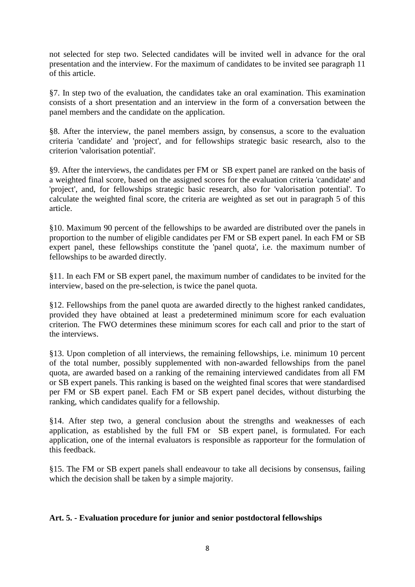not selected for step two. Selected candidates will be invited well in advance for the oral presentation and the interview. For the maximum of candidates to be invited see paragraph 11 of this article.

§7. In step two of the evaluation, the candidates take an oral examination. This examination consists of a short presentation and an interview in the form of a conversation between the panel members and the candidate on the application.

§8. After the interview, the panel members assign, by consensus, a score to the evaluation criteria 'candidate' and 'project', and for fellowships strategic basic research, also to the criterion 'valorisation potential'.

§9. After the interviews, the candidates per FM or SB expert panel are ranked on the basis of a weighted final score, based on the assigned scores for the evaluation criteria 'candidate' and 'project', and, for fellowships strategic basic research, also for 'valorisation potential'. To calculate the weighted final score, the criteria are weighted as set out in paragraph 5 of this article.

§10. Maximum 90 percent of the fellowships to be awarded are distributed over the panels in proportion to the number of eligible candidates per FM or SB expert panel. In each FM or SB expert panel, these fellowships constitute the 'panel quota', i.e. the maximum number of fellowships to be awarded directly.

§11. In each FM or SB expert panel, the maximum number of candidates to be invited for the interview, based on the pre-selection, is twice the panel quota.

§12. Fellowships from the panel quota are awarded directly to the highest ranked candidates, provided they have obtained at least a predetermined minimum score for each evaluation criterion. The FWO determines these minimum scores for each call and prior to the start of the interviews.

§13. Upon completion of all interviews, the remaining fellowships, i.e. minimum 10 percent of the total number, possibly supplemented with non-awarded fellowships from the panel quota, are awarded based on a ranking of the remaining interviewed candidates from all FM or SB expert panels. This ranking is based on the weighted final scores that were standardised per FM or SB expert panel. Each FM or SB expert panel decides, without disturbing the ranking, which candidates qualify for a fellowship.

§14. After step two, a general conclusion about the strengths and weaknesses of each application, as established by the full FM or SB expert panel, is formulated. For each application, one of the internal evaluators is responsible as rapporteur for the formulation of this feedback.

§15. The FM or SB expert panels shall endeavour to take all decisions by consensus, failing which the decision shall be taken by a simple majority.

#### **Art. 5. - Evaluation procedure for junior and senior postdoctoral fellowships**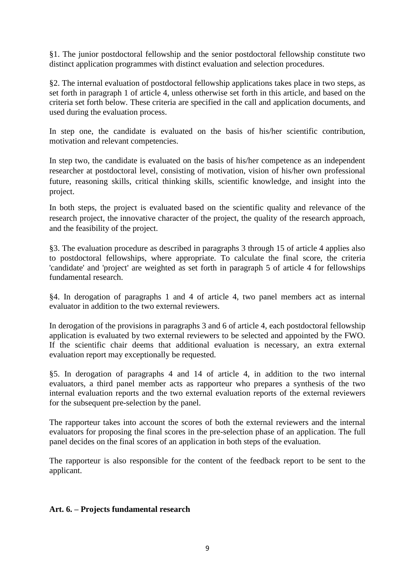§1. The junior postdoctoral fellowship and the senior postdoctoral fellowship constitute two distinct application programmes with distinct evaluation and selection procedures.

§2. The internal evaluation of postdoctoral fellowship applications takes place in two steps, as set forth in paragraph 1 of article 4, unless otherwise set forth in this article, and based on the criteria set forth below. These criteria are specified in the call and application documents, and used during the evaluation process.

In step one, the candidate is evaluated on the basis of his/her scientific contribution, motivation and relevant competencies.

In step two, the candidate is evaluated on the basis of his/her competence as an independent researcher at postdoctoral level, consisting of motivation, vision of his/her own professional future, reasoning skills, critical thinking skills, scientific knowledge, and insight into the project.

In both steps, the project is evaluated based on the scientific quality and relevance of the research project, the innovative character of the project, the quality of the research approach, and the feasibility of the project.

§3. The evaluation procedure as described in paragraphs 3 through 15 of article 4 applies also to postdoctoral fellowships, where appropriate. To calculate the final score, the criteria 'candidate' and 'project' are weighted as set forth in paragraph 5 of article 4 for fellowships fundamental research.

§4. In derogation of paragraphs 1 and 4 of article 4, two panel members act as internal evaluator in addition to the two external reviewers.

In derogation of the provisions in paragraphs 3 and 6 of article 4, each postdoctoral fellowship application is evaluated by two external reviewers to be selected and appointed by the FWO. If the scientific chair deems that additional evaluation is necessary, an extra external evaluation report may exceptionally be requested.

§5. In derogation of paragraphs 4 and 14 of article 4, in addition to the two internal evaluators, a third panel member acts as rapporteur who prepares a synthesis of the two internal evaluation reports and the two external evaluation reports of the external reviewers for the subsequent pre-selection by the panel.

The rapporteur takes into account the scores of both the external reviewers and the internal evaluators for proposing the final scores in the pre-selection phase of an application. The full panel decides on the final scores of an application in both steps of the evaluation.

The rapporteur is also responsible for the content of the feedback report to be sent to the applicant.

#### **Art. 6. – Projects fundamental research**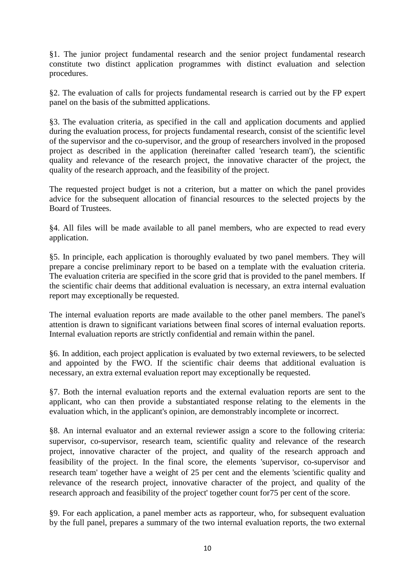§1. The junior project fundamental research and the senior project fundamental research constitute two distinct application programmes with distinct evaluation and selection procedures.

§2. The evaluation of calls for projects fundamental research is carried out by the FP expert panel on the basis of the submitted applications.

§3. The evaluation criteria, as specified in the call and application documents and applied during the evaluation process, for projects fundamental research, consist of the scientific level of the supervisor and the co-supervisor, and the group of researchers involved in the proposed project as described in the application (hereinafter called 'research team'), the scientific quality and relevance of the research project, the innovative character of the project, the quality of the research approach, and the feasibility of the project.

The requested project budget is not a criterion, but a matter on which the panel provides advice for the subsequent allocation of financial resources to the selected projects by the Board of Trustees.

§4. All files will be made available to all panel members, who are expected to read every application.

§5. In principle, each application is thoroughly evaluated by two panel members. They will prepare a concise preliminary report to be based on a template with the evaluation criteria. The evaluation criteria are specified in the score grid that is provided to the panel members. If the scientific chair deems that additional evaluation is necessary, an extra internal evaluation report may exceptionally be requested.

The internal evaluation reports are made available to the other panel members. The panel's attention is drawn to significant variations between final scores of internal evaluation reports. Internal evaluation reports are strictly confidential and remain within the panel.

§6. In addition, each project application is evaluated by two external reviewers, to be selected and appointed by the FWO. If the scientific chair deems that additional evaluation is necessary, an extra external evaluation report may exceptionally be requested.

§7. Both the internal evaluation reports and the external evaluation reports are sent to the applicant, who can then provide a substantiated response relating to the elements in the evaluation which, in the applicant's opinion, are demonstrably incomplete or incorrect.

§8. An internal evaluator and an external reviewer assign a score to the following criteria: supervisor, co-supervisor, research team, scientific quality and relevance of the research project, innovative character of the project, and quality of the research approach and feasibility of the project. In the final score, the elements 'supervisor, co-supervisor and research team' together have a weight of 25 per cent and the elements 'scientific quality and relevance of the research project, innovative character of the project, and quality of the research approach and feasibility of the project' together count for75 per cent of the score.

§9. For each application, a panel member acts as rapporteur, who, for subsequent evaluation by the full panel, prepares a summary of the two internal evaluation reports, the two external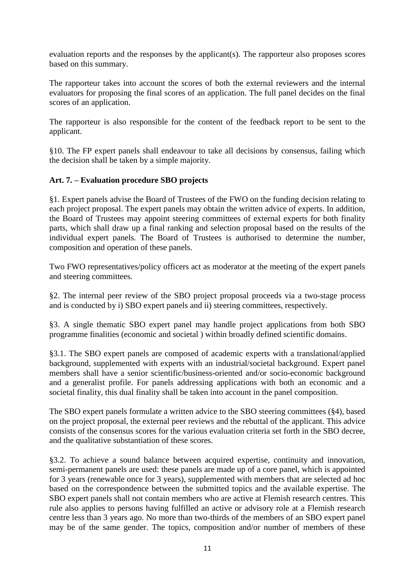evaluation reports and the responses by the applicant(s). The rapporteur also proposes scores based on this summary.

The rapporteur takes into account the scores of both the external reviewers and the internal evaluators for proposing the final scores of an application. The full panel decides on the final scores of an application.

The rapporteur is also responsible for the content of the feedback report to be sent to the applicant.

§10. The FP expert panels shall endeavour to take all decisions by consensus, failing which the decision shall be taken by a simple majority.

#### **Art. 7. – Evaluation procedure SBO projects**

§1. Expert panels advise the Board of Trustees of the FWO on the funding decision relating to each project proposal. The expert panels may obtain the written advice of experts. In addition, the Board of Trustees may appoint steering committees of external experts for both finality parts, which shall draw up a final ranking and selection proposal based on the results of the individual expert panels. The Board of Trustees is authorised to determine the number, composition and operation of these panels.

Two FWO representatives/policy officers act as moderator at the meeting of the expert panels and steering committees.

§2. The internal peer review of the SBO project proposal proceeds via a two-stage process and is conducted by i) SBO expert panels and ii) steering committees, respectively.

§3. A single thematic SBO expert panel may handle project applications from both SBO programme finalities (economic and societal ) within broadly defined scientific domains.

§3.1. The SBO expert panels are composed of academic experts with a translational/applied background, supplemented with experts with an industrial/societal background. Expert panel members shall have a senior scientific/business-oriented and/or socio-economic background and a generalist profile. For panels addressing applications with both an economic and a societal finality, this dual finality shall be taken into account in the panel composition.

The SBO expert panels formulate a written advice to the SBO steering committees (§4), based on the project proposal, the external peer reviews and the rebuttal of the applicant. This advice consists of the consensus scores for the various evaluation criteria set forth in the SBO decree, and the qualitative substantiation of these scores.

§3.2. To achieve a sound balance between acquired expertise, continuity and innovation, semi-permanent panels are used: these panels are made up of a core panel, which is appointed for 3 years (renewable once for 3 years), supplemented with members that are selected ad hoc based on the correspondence between the submitted topics and the available expertise. The SBO expert panels shall not contain members who are active at Flemish research centres. This rule also applies to persons having fulfilled an active or advisory role at a Flemish research centre less than 3 years ago. No more than two-thirds of the members of an SBO expert panel may be of the same gender. The topics, composition and/or number of members of these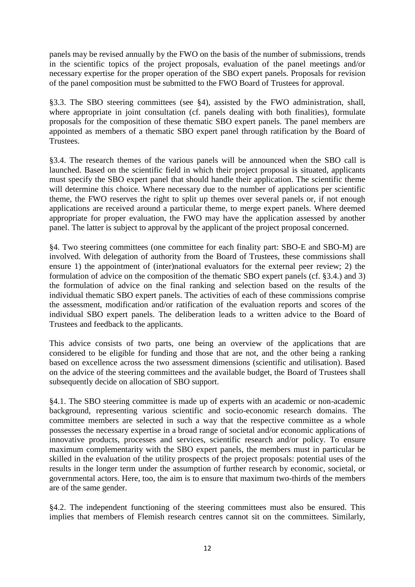panels may be revised annually by the FWO on the basis of the number of submissions, trends in the scientific topics of the project proposals, evaluation of the panel meetings and/or necessary expertise for the proper operation of the SBO expert panels. Proposals for revision of the panel composition must be submitted to the FWO Board of Trustees for approval.

§3.3. The SBO steering committees (see §4), assisted by the FWO administration, shall, where appropriate in joint consultation (cf. panels dealing with both finalities), formulate proposals for the composition of these thematic SBO expert panels. The panel members are appointed as members of a thematic SBO expert panel through ratification by the Board of Trustees.

§3.4. The research themes of the various panels will be announced when the SBO call is launched. Based on the scientific field in which their project proposal is situated, applicants must specify the SBO expert panel that should handle their application. The scientific theme will determine this choice. Where necessary due to the number of applications per scientific theme, the FWO reserves the right to split up themes over several panels or, if not enough applications are received around a particular theme, to merge expert panels. Where deemed appropriate for proper evaluation, the FWO may have the application assessed by another panel. The latter is subject to approval by the applicant of the project proposal concerned.

§4. Two steering committees (one committee for each finality part: SBO-E and SBO-M) are involved. With delegation of authority from the Board of Trustees, these commissions shall ensure 1) the appointment of (inter)national evaluators for the external peer review; 2) the formulation of advice on the composition of the thematic SBO expert panels (cf. §3.4.) and 3) the formulation of advice on the final ranking and selection based on the results of the individual thematic SBO expert panels. The activities of each of these commissions comprise the assessment, modification and/or ratification of the evaluation reports and scores of the individual SBO expert panels. The deliberation leads to a written advice to the Board of Trustees and feedback to the applicants.

This advice consists of two parts, one being an overview of the applications that are considered to be eligible for funding and those that are not, and the other being a ranking based on excellence across the two assessment dimensions (scientific and utilisation). Based on the advice of the steering committees and the available budget, the Board of Trustees shall subsequently decide on allocation of SBO support.

§4.1. The SBO steering committee is made up of experts with an academic or non-academic background, representing various scientific and socio-economic research domains. The committee members are selected in such a way that the respective committee as a whole possesses the necessary expertise in a broad range of societal and/or economic applications of innovative products, processes and services, scientific research and/or policy. To ensure maximum complementarity with the SBO expert panels, the members must in particular be skilled in the evaluation of the utility prospects of the project proposals: potential uses of the results in the longer term under the assumption of further research by economic, societal, or governmental actors. Here, too, the aim is to ensure that maximum two-thirds of the members are of the same gender.

§4.2. The independent functioning of the steering committees must also be ensured. This implies that members of Flemish research centres cannot sit on the committees. Similarly,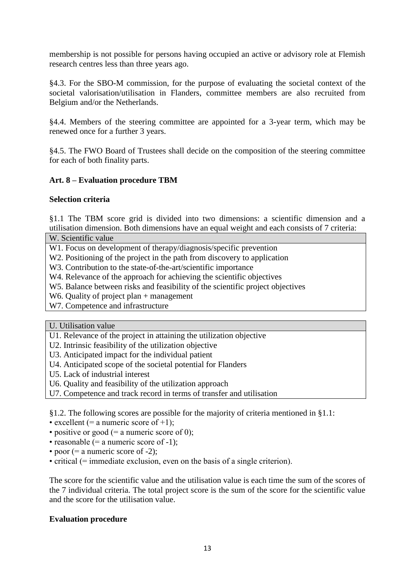membership is not possible for persons having occupied an active or advisory role at Flemish research centres less than three years ago.

§4.3. For the SBO-M commission, for the purpose of evaluating the societal context of the societal valorisation/utilisation in Flanders, committee members are also recruited from Belgium and/or the Netherlands.

§4.4. Members of the steering committee are appointed for a 3-year term, which may be renewed once for a further 3 years.

§4.5. The FWO Board of Trustees shall decide on the composition of the steering committee for each of both finality parts.

#### **Art. 8 – Evaluation procedure TBM**

#### **Selection criteria**

§1.1 The TBM score grid is divided into two dimensions: a scientific dimension and a utilisation dimension. Both dimensions have an equal weight and each consists of 7 criteria:

W. Scientific value

W1. Focus on development of therapy/diagnosis/specific prevention

W<sub>2</sub>. Positioning of the project in the path from discovery to application

W3. Contribution to the state-of-the-art/scientific importance

W4. Relevance of the approach for achieving the scientific objectives

W<sub>5</sub>. Balance between risks and feasibility of the scientific project objectives

W6. Quality of project plan + management

W7. Competence and infrastructure

U. Utilisation value

U1. Relevance of the project in attaining the utilization objective

U2. Intrinsic feasibility of the utilization objective

U3. Anticipated impact for the individual patient

U4. Anticipated scope of the societal potential for Flanders

U5. Lack of industrial interest

U6. Quality and feasibility of the utilization approach

U7. Competence and track record in terms of transfer and utilisation

§1.2. The following scores are possible for the majority of criteria mentioned in §1.1:

• excellent (= a numeric score of +1);

• positive or good  $(=$  a numeric score of 0);

• reasonable  $(=$  a numeric score of -1);

• poor  $(=$  a numeric score of  $-2$ );

• critical (= immediate exclusion, even on the basis of a single criterion).

The score for the scientific value and the utilisation value is each time the sum of the scores of the 7 individual criteria. The total project score is the sum of the score for the scientific value and the score for the utilisation value.

#### **Evaluation procedure**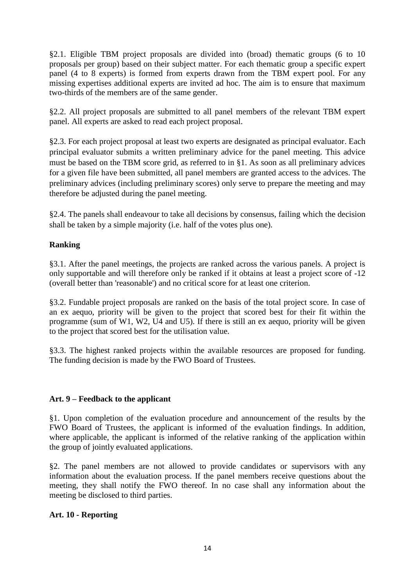§2.1. Eligible TBM project proposals are divided into (broad) thematic groups (6 to 10 proposals per group) based on their subject matter. For each thematic group a specific expert panel (4 to 8 experts) is formed from experts drawn from the TBM expert pool. For any missing expertises additional experts are invited ad hoc. The aim is to ensure that maximum two-thirds of the members are of the same gender.

§2.2. All project proposals are submitted to all panel members of the relevant TBM expert panel. All experts are asked to read each project proposal.

§2.3. For each project proposal at least two experts are designated as principal evaluator. Each principal evaluator submits a written preliminary advice for the panel meeting. This advice must be based on the TBM score grid, as referred to in §1. As soon as all preliminary advices for a given file have been submitted, all panel members are granted access to the advices. The preliminary advices (including preliminary scores) only serve to prepare the meeting and may therefore be adjusted during the panel meeting.

§2.4. The panels shall endeavour to take all decisions by consensus, failing which the decision shall be taken by a simple majority (i.e. half of the votes plus one).

#### **Ranking**

§3.1. After the panel meetings, the projects are ranked across the various panels. A project is only supportable and will therefore only be ranked if it obtains at least a project score of -12 (overall better than 'reasonable') and no critical score for at least one criterion.

§3.2. Fundable project proposals are ranked on the basis of the total project score. In case of an ex aequo, priority will be given to the project that scored best for their fit within the programme (sum of W1, W2, U4 and U5). If there is still an ex aequo, priority will be given to the project that scored best for the utilisation value.

§3.3. The highest ranked projects within the available resources are proposed for funding. The funding decision is made by the FWO Board of Trustees.

#### **Art. 9 – Feedback to the applicant**

§1. Upon completion of the evaluation procedure and announcement of the results by the FWO Board of Trustees, the applicant is informed of the evaluation findings. In addition, where applicable, the applicant is informed of the relative ranking of the application within the group of jointly evaluated applications.

§2. The panel members are not allowed to provide candidates or supervisors with any information about the evaluation process. If the panel members receive questions about the meeting, they shall notify the FWO thereof. In no case shall any information about the meeting be disclosed to third parties.

#### **Art. 10 - Reporting**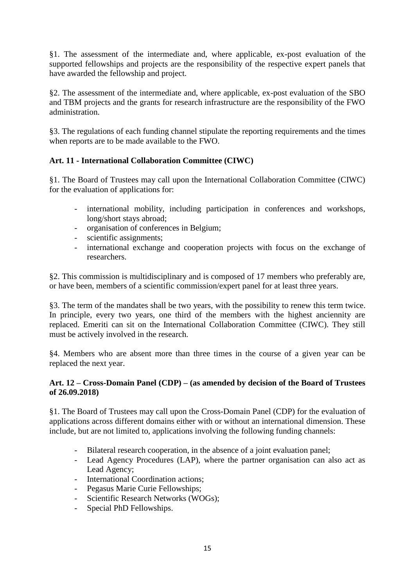§1. The assessment of the intermediate and, where applicable, ex-post evaluation of the supported fellowships and projects are the responsibility of the respective expert panels that have awarded the fellowship and project.

§2. The assessment of the intermediate and, where applicable, ex-post evaluation of the SBO and TBM projects and the grants for research infrastructure are the responsibility of the FWO administration.

§3. The regulations of each funding channel stipulate the reporting requirements and the times when reports are to be made available to the FWO.

#### **Art. 11 - International Collaboration Committee (CIWC)**

§1. The Board of Trustees may call upon the International Collaboration Committee (CIWC) for the evaluation of applications for:

- international mobility, including participation in conferences and workshops, long/short stays abroad;
- organisation of conferences in Belgium;
- scientific assignments;
- international exchange and cooperation projects with focus on the exchange of researchers.

§2. This commission is multidisciplinary and is composed of 17 members who preferably are, or have been, members of a scientific commission/expert panel for at least three years.

§3. The term of the mandates shall be two years, with the possibility to renew this term twice. In principle, every two years, one third of the members with the highest anciennity are replaced. Emeriti can sit on the International Collaboration Committee (CIWC). They still must be actively involved in the research.

§4. Members who are absent more than three times in the course of a given year can be replaced the next year.

#### **Art. 12 – Cross-Domain Panel (CDP) – (as amended by decision of the Board of Trustees of 26.09.2018)**

§1. The Board of Trustees may call upon the Cross-Domain Panel (CDP) for the evaluation of applications across different domains either with or without an international dimension. These include, but are not limited to, applications involving the following funding channels:

- Bilateral research cooperation, in the absence of a joint evaluation panel;
- Lead Agency Procedures (LAP), where the partner organisation can also act as Lead Agency;
- International Coordination actions;
- Pegasus Marie Curie Fellowships;
- Scientific Research Networks (WOGs);
- Special PhD Fellowships.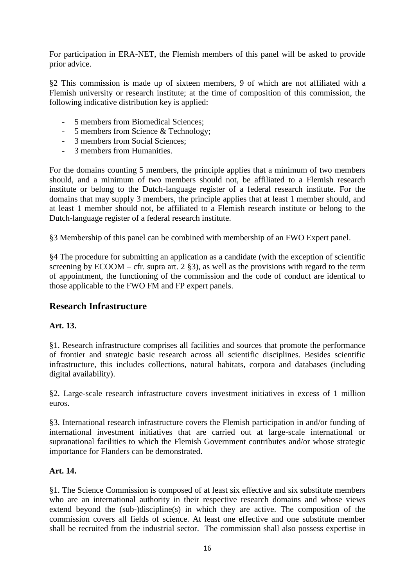For participation in ERA-NET, the Flemish members of this panel will be asked to provide prior advice.

§2 This commission is made up of sixteen members, 9 of which are not affiliated with a Flemish university or research institute; at the time of composition of this commission, the following indicative distribution key is applied:

- 5 members from Biomedical Sciences;
- 5 members from Science & Technology;
- 3 members from Social Sciences;
- 3 members from Humanities.

For the domains counting 5 members, the principle applies that a minimum of two members should, and a minimum of two members should not, be affiliated to a Flemish research institute or belong to the Dutch-language register of a federal research institute. For the domains that may supply 3 members, the principle applies that at least 1 member should, and at least 1 member should not, be affiliated to a Flemish research institute or belong to the Dutch-language register of a federal research institute.

§3 Membership of this panel can be combined with membership of an FWO Expert panel.

§4 The procedure for submitting an application as a candidate (with the exception of scientific screening by  $ECOOM - cfr$ . supra art. 2 §3), as well as the provisions with regard to the term of appointment, the functioning of the commission and the code of conduct are identical to those applicable to the FWO FM and FP expert panels.

#### **Research Infrastructure**

#### **Art. 13.**

§1. Research infrastructure comprises all facilities and sources that promote the performance of frontier and strategic basic research across all scientific disciplines. Besides scientific infrastructure, this includes collections, natural habitats, corpora and databases (including digital availability).

§2. Large-scale research infrastructure covers investment initiatives in excess of 1 million euros.

§3. International research infrastructure covers the Flemish participation in and/or funding of international investment initiatives that are carried out at large-scale international or supranational facilities to which the Flemish Government contributes and/or whose strategic importance for Flanders can be demonstrated.

#### **Art. 14.**

§1. The Science Commission is composed of at least six effective and six substitute members who are an international authority in their respective research domains and whose views extend beyond the (sub-)discipline(s) in which they are active. The composition of the commission covers all fields of science. At least one effective and one substitute member shall be recruited from the industrial sector. The commission shall also possess expertise in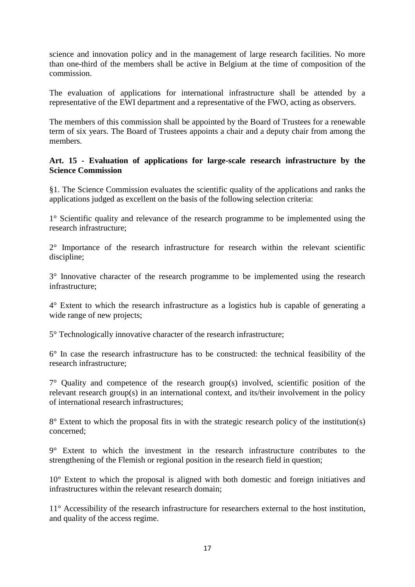science and innovation policy and in the management of large research facilities. No more than one-third of the members shall be active in Belgium at the time of composition of the commission.

The evaluation of applications for international infrastructure shall be attended by a representative of the EWI department and a representative of the FWO, acting as observers.

The members of this commission shall be appointed by the Board of Trustees for a renewable term of six years. The Board of Trustees appoints a chair and a deputy chair from among the members.

#### **Art. 15 - Evaluation of applications for large-scale research infrastructure by the Science Commission**

§1. The Science Commission evaluates the scientific quality of the applications and ranks the applications judged as excellent on the basis of the following selection criteria:

1° Scientific quality and relevance of the research programme to be implemented using the research infrastructure;

2° Importance of the research infrastructure for research within the relevant scientific discipline;

3° Innovative character of the research programme to be implemented using the research infrastructure;

4° Extent to which the research infrastructure as a logistics hub is capable of generating a wide range of new projects;

5° Technologically innovative character of the research infrastructure;

6° In case the research infrastructure has to be constructed: the technical feasibility of the research infrastructure;

 $7^\circ$  Quality and competence of the research group(s) involved, scientific position of the relevant research group(s) in an international context, and its/their involvement in the policy of international research infrastructures;

8° Extent to which the proposal fits in with the strategic research policy of the institution(s) concerned;

9° Extent to which the investment in the research infrastructure contributes to the strengthening of the Flemish or regional position in the research field in question;

10° Extent to which the proposal is aligned with both domestic and foreign initiatives and infrastructures within the relevant research domain;

11<sup>°</sup> Accessibility of the research infrastructure for researchers external to the host institution, and quality of the access regime.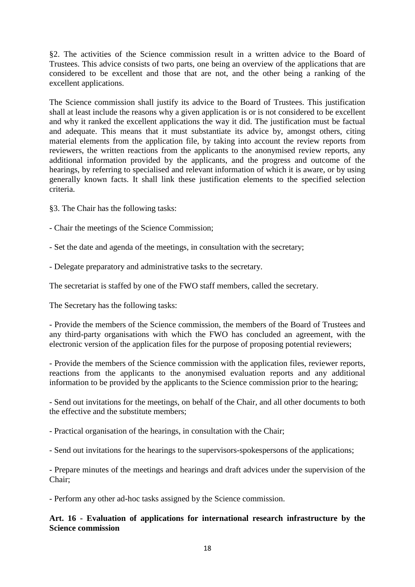§2. The activities of the Science commission result in a written advice to the Board of Trustees. This advice consists of two parts, one being an overview of the applications that are considered to be excellent and those that are not, and the other being a ranking of the excellent applications.

The Science commission shall justify its advice to the Board of Trustees. This justification shall at least include the reasons why a given application is or is not considered to be excellent and why it ranked the excellent applications the way it did. The justification must be factual and adequate. This means that it must substantiate its advice by, amongst others, citing material elements from the application file, by taking into account the review reports from reviewers, the written reactions from the applicants to the anonymised review reports, any additional information provided by the applicants, and the progress and outcome of the hearings, by referring to specialised and relevant information of which it is aware, or by using generally known facts. It shall link these justification elements to the specified selection criteria.

§3. The Chair has the following tasks:

- Chair the meetings of the Science Commission;

- Set the date and agenda of the meetings, in consultation with the secretary;

- Delegate preparatory and administrative tasks to the secretary.

The secretariat is staffed by one of the FWO staff members, called the secretary.

The Secretary has the following tasks:

- Provide the members of the Science commission, the members of the Board of Trustees and any third-party organisations with which the FWO has concluded an agreement, with the electronic version of the application files for the purpose of proposing potential reviewers;

- Provide the members of the Science commission with the application files, reviewer reports, reactions from the applicants to the anonymised evaluation reports and any additional information to be provided by the applicants to the Science commission prior to the hearing;

- Send out invitations for the meetings, on behalf of the Chair, and all other documents to both the effective and the substitute members;

- Practical organisation of the hearings, in consultation with the Chair;

- Send out invitations for the hearings to the supervisors-spokespersons of the applications;

- Prepare minutes of the meetings and hearings and draft advices under the supervision of the Chair;

- Perform any other ad-hoc tasks assigned by the Science commission.

#### **Art. 16 - Evaluation of applications for international research infrastructure by the Science commission**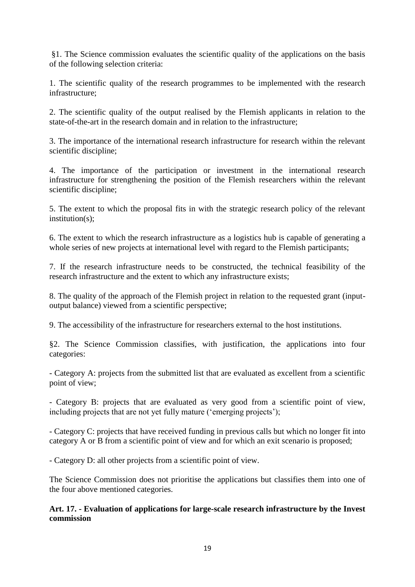§1. The Science commission evaluates the scientific quality of the applications on the basis of the following selection criteria:

1. The scientific quality of the research programmes to be implemented with the research infrastructure;

2. The scientific quality of the output realised by the Flemish applicants in relation to the state-of-the-art in the research domain and in relation to the infrastructure;

3. The importance of the international research infrastructure for research within the relevant scientific discipline;

4. The importance of the participation or investment in the international research infrastructure for strengthening the position of the Flemish researchers within the relevant scientific discipline;

5. The extent to which the proposal fits in with the strategic research policy of the relevant institution(s):

6. The extent to which the research infrastructure as a logistics hub is capable of generating a whole series of new projects at international level with regard to the Flemish participants;

7. If the research infrastructure needs to be constructed, the technical feasibility of the research infrastructure and the extent to which any infrastructure exists;

8. The quality of the approach of the Flemish project in relation to the requested grant (inputoutput balance) viewed from a scientific perspective;

9. The accessibility of the infrastructure for researchers external to the host institutions.

§2. The Science Commission classifies, with justification, the applications into four categories:

- Category A: projects from the submitted list that are evaluated as excellent from a scientific point of view;

- Category B: projects that are evaluated as very good from a scientific point of view, including projects that are not yet fully mature ('emerging projects');

- Category C: projects that have received funding in previous calls but which no longer fit into category A or B from a scientific point of view and for which an exit scenario is proposed;

- Category D: all other projects from a scientific point of view.

The Science Commission does not prioritise the applications but classifies them into one of the four above mentioned categories.

**Art. 17. - Evaluation of applications for large-scale research infrastructure by the Invest commission**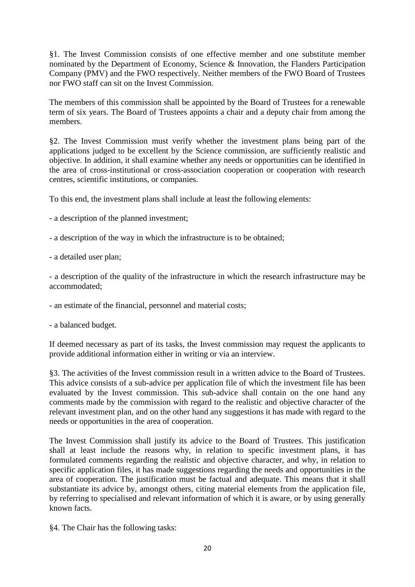§1. The Invest Commission consists of one effective member and one substitute member nominated by the Department of Economy, Science & Innovation, the Flanders Participation Company (PMV) and the FWO respectively. Neither members of the FWO Board of Trustees nor FWO staff can sit on the Invest Commission.

The members of this commission shall be appointed by the Board of Trustees for a renewable term of six years. The Board of Trustees appoints a chair and a deputy chair from among the members.

§2. The Invest Commission must verify whether the investment plans being part of the applications judged to be excellent by the Science commission, are sufficiently realistic and objective. In addition, it shall examine whether any needs or opportunities can be identified in the area of cross-institutional or cross-association cooperation or cooperation with research centres, scientific institutions, or companies.

To this end, the investment plans shall include at least the following elements:

- a description of the planned investment;
- a description of the way in which the infrastructure is to be obtained;
- a detailed user plan;

- a description of the quality of the infrastructure in which the research infrastructure may be accommodated;

- an estimate of the financial, personnel and material costs;
- a balanced budget.

If deemed necessary as part of its tasks, the Invest commission may request the applicants to provide additional information either in writing or via an interview.

§3. The activities of the Invest commission result in a written advice to the Board of Trustees. This advice consists of a sub-advice per application file of which the investment file has been evaluated by the Invest commission. This sub-advice shall contain on the one hand any comments made by the commission with regard to the realistic and objective character of the relevant investment plan, and on the other hand any suggestions it has made with regard to the needs or opportunities in the area of cooperation.

The Invest Commission shall justify its advice to the Board of Trustees. This justification shall at least include the reasons why, in relation to specific investment plans, it has formulated comments regarding the realistic and objective character, and why, in relation to specific application files, it has made suggestions regarding the needs and opportunities in the area of cooperation. The justification must be factual and adequate. This means that it shall substantiate its advice by, amongst others, citing material elements from the application file, by referring to specialised and relevant information of which it is aware, or by using generally known facts.

§4. The Chair has the following tasks: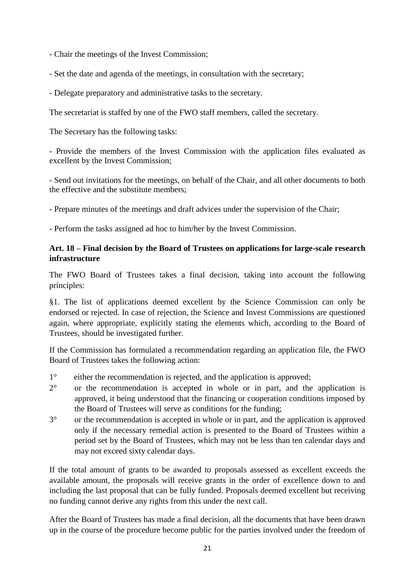- Chair the meetings of the Invest Commission;

- Set the date and agenda of the meetings, in consultation with the secretary;
- Delegate preparatory and administrative tasks to the secretary.

The secretariat is staffed by one of the FWO staff members, called the secretary.

The Secretary has the following tasks:

- Provide the members of the Invest Commission with the application files evaluated as excellent by the Invest Commission;

- Send out invitations for the meetings, on behalf of the Chair, and all other documents to both the effective and the substitute members;

- Prepare minutes of the meetings and draft advices under the supervision of the Chair;

- Perform the tasks assigned ad hoc to him/her by the Invest Commission.

#### **Art. 18 – Final decision by the Board of Trustees on applications for large-scale research infrastructure**

The FWO Board of Trustees takes a final decision, taking into account the following principles:

§1. The list of applications deemed excellent by the Science Commission can only be endorsed or rejected. In case of rejection, the Science and Invest Commissions are questioned again, where appropriate, explicitly stating the elements which, according to the Board of Trustees, should be investigated further.

If the Commission has formulated a recommendation regarding an application file, the FWO Board of Trustees takes the following action:

- 1° either the recommendation is rejected, and the application is approved;
- 2° or the recommendation is accepted in whole or in part, and the application is approved, it being understood that the financing or cooperation conditions imposed by the Board of Trustees will serve as conditions for the funding;
- 3° or the recommendation is accepted in whole or in part, and the application is approved only if the necessary remedial action is presented to the Board of Trustees within a period set by the Board of Trustees, which may not be less than ten calendar days and may not exceed sixty calendar days.

If the total amount of grants to be awarded to proposals assessed as excellent exceeds the available amount, the proposals will receive grants in the order of excellence down to and including the last proposal that can be fully funded. Proposals deemed excellent but receiving no funding cannot derive any rights from this under the next call.

After the Board of Trustees has made a final decision, all the documents that have been drawn up in the course of the procedure become public for the parties involved under the freedom of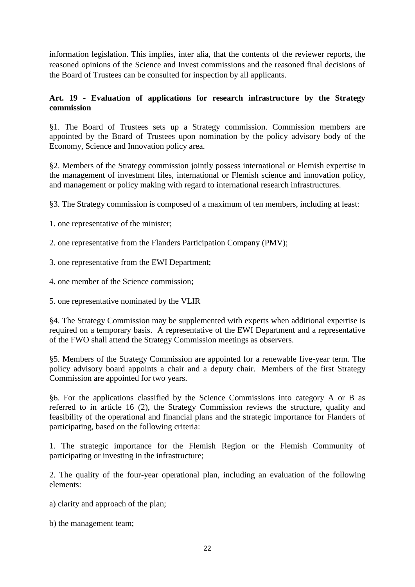information legislation. This implies, inter alia, that the contents of the reviewer reports, the reasoned opinions of the Science and Invest commissions and the reasoned final decisions of the Board of Trustees can be consulted for inspection by all applicants.

#### **Art. 19 - Evaluation of applications for research infrastructure by the Strategy commission**

§1. The Board of Trustees sets up a Strategy commission. Commission members are appointed by the Board of Trustees upon nomination by the policy advisory body of the Economy, Science and Innovation policy area.

§2. Members of the Strategy commission jointly possess international or Flemish expertise in the management of investment files, international or Flemish science and innovation policy, and management or policy making with regard to international research infrastructures.

§3. The Strategy commission is composed of a maximum of ten members, including at least:

1. one representative of the minister;

2. one representative from the Flanders Participation Company (PMV);

3. one representative from the EWI Department;

4. one member of the Science commission;

5. one representative nominated by the VLIR

§4. The Strategy Commission may be supplemented with experts when additional expertise is required on a temporary basis. A representative of the EWI Department and a representative of the FWO shall attend the Strategy Commission meetings as observers.

§5. Members of the Strategy Commission are appointed for a renewable five-year term. The policy advisory board appoints a chair and a deputy chair. Members of the first Strategy Commission are appointed for two years.

§6. For the applications classified by the Science Commissions into category A or B as referred to in article 16 (2), the Strategy Commission reviews the structure, quality and feasibility of the operational and financial plans and the strategic importance for Flanders of participating, based on the following criteria:

1. The strategic importance for the Flemish Region or the Flemish Community of participating or investing in the infrastructure;

2. The quality of the four-year operational plan, including an evaluation of the following elements:

- a) clarity and approach of the plan;
- b) the management team;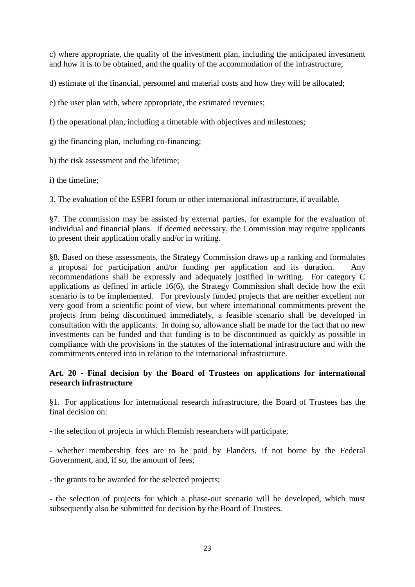c) where appropriate, the quality of the investment plan, including the anticipated investment and how it is to be obtained, and the quality of the accommodation of the infrastructure;

d) estimate of the financial, personnel and material costs and how they will be allocated;

e) the user plan with, where appropriate, the estimated revenues;

f) the operational plan, including a timetable with objectives and milestones;

g) the financing plan, including co-financing;

h) the risk assessment and the lifetime;

i) the timeline;

3. The evaluation of the ESFRI forum or other international infrastructure, if available.

§7. The commission may be assisted by external parties, for example for the evaluation of individual and financial plans. If deemed necessary, the Commission may require applicants to present their application orally and/or in writing.

§8. Based on these assessments, the Strategy Commission draws up a ranking and formulates a proposal for participation and/or funding per application and its duration. Any recommendations shall be expressly and adequately justified in writing. For category C applications as defined in article 16(6), the Strategy Commission shall decide how the exit scenario is to be implemented. For previously funded projects that are neither excellent nor very good from a scientific point of view, but where international commitments prevent the projects from being discontinued immediately, a feasible scenario shall be developed in consultation with the applicants. In doing so, allowance shall be made for the fact that no new investments can be funded and that funding is to be discontinued as quickly as possible in compliance with the provisions in the statutes of the international infrastructure and with the commitments entered into in relation to the international infrastructure.

#### **Art. 20 - Final decision by the Board of Trustees on applications for international research infrastructure**

§1. For applications for international research infrastructure, the Board of Trustees has the final decision on:

- the selection of projects in which Flemish researchers will participate;

- whether membership fees are to be paid by Flanders, if not borne by the Federal Government, and, if so, the amount of fees:

- the grants to be awarded for the selected projects;

- the selection of projects for which a phase-out scenario will be developed, which must subsequently also be submitted for decision by the Board of Trustees.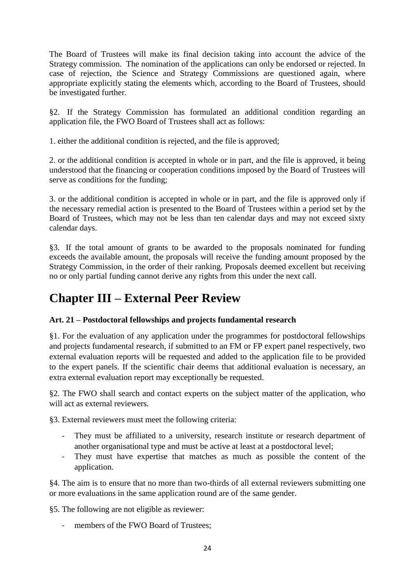The Board of Trustees will make its final decision taking into account the advice of the Strategy commission. The nomination of the applications can only be endorsed or rejected. In case of rejection, the Science and Strategy Commissions are questioned again, where appropriate explicitly stating the elements which, according to the Board of Trustees, should be investigated further.

§2. If the Strategy Commission has formulated an additional condition regarding an application file, the FWO Board of Trustees shall act as follows:

1. either the additional condition is rejected, and the file is approved;

2. or the additional condition is accepted in whole or in part, and the file is approved, it being understood that the financing or cooperation conditions imposed by the Board of Trustees will serve as conditions for the funding;

3. or the additional condition is accepted in whole or in part, and the file is approved only if the necessary remedial action is presented to the Board of Trustees within a period set by the Board of Trustees, which may not be less than ten calendar days and may not exceed sixty calendar days.

§3. If the total amount of grants to be awarded to the proposals nominated for funding exceeds the available amount, the proposals will receive the funding amount proposed by the Strategy Commission, in the order of their ranking. Proposals deemed excellent but receiving no or only partial funding cannot derive any rights from this under the next call.

## **Chapter III – External Peer Review**

#### **Art. 21 – Postdoctoral fellowships and projects fundamental research**

§1. For the evaluation of any application under the programmes for postdoctoral fellowships and projects fundamental research, if submitted to an FM or FP expert panel respectively, two external evaluation reports will be requested and added to the application file to be provided to the expert panels. If the scientific chair deems that additional evaluation is necessary, an extra external evaluation report may exceptionally be requested.

§2. The FWO shall search and contact experts on the subject matter of the application, who will act as external reviewers.

§3. External reviewers must meet the following criteria:

- They must be affiliated to a university, research institute or research department of another organisational type and must be active at least at a postdoctoral level;
- They must have expertise that matches as much as possible the content of the application.

§4. The aim is to ensure that no more than two-thirds of all external reviewers submitting one or more evaluations in the same application round are of the same gender.

§5. The following are not eligible as reviewer:

- members of the FWO Board of Trustees;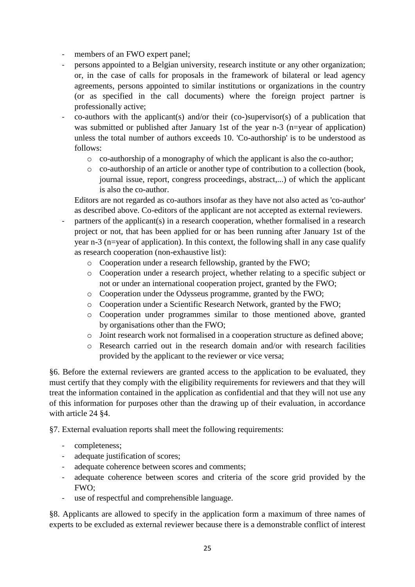- members of an FWO expert panel;
- persons appointed to a Belgian university, research institute or any other organization; or, in the case of calls for proposals in the framework of bilateral or lead agency agreements, persons appointed to similar institutions or organizations in the country (or as specified in the call documents) where the foreign project partner is professionally active;
- $co$ -authors with the applicant(s) and/or their (co-)supervisor(s) of a publication that was submitted or published after January 1st of the year n-3 (n=year of application) unless the total number of authors exceeds 10. 'Co-authorship' is to be understood as follows:
	- o co-authorship of a monography of which the applicant is also the co-author;
	- o co-authorship of an article or another type of contribution to a collection (book, journal issue, report, congress proceedings, abstract,...) of which the applicant is also the co-author.

Editors are not regarded as co-authors insofar as they have not also acted as 'co-author' as described above. Co-editors of the applicant are not accepted as external reviewers.

- partners of the applicant(s) in a research cooperation, whether formalised in a research project or not, that has been applied for or has been running after January 1st of the year n-3 (n=year of application). In this context, the following shall in any case qualify as research cooperation (non-exhaustive list):
	- o Cooperation under a research fellowship, granted by the FWO;
	- o Cooperation under a research project, whether relating to a specific subject or not or under an international cooperation project, granted by the FWO;
	- o Cooperation under the Odysseus programme, granted by the FWO;
	- o Cooperation under a Scientific Research Network, granted by the FWO;
	- o Cooperation under programmes similar to those mentioned above, granted by organisations other than the FWO;
	- o Joint research work not formalised in a cooperation structure as defined above;
	- o Research carried out in the research domain and/or with research facilities provided by the applicant to the reviewer or vice versa;

§6. Before the external reviewers are granted access to the application to be evaluated, they must certify that they comply with the eligibility requirements for reviewers and that they will treat the information contained in the application as confidential and that they will not use any of this information for purposes other than the drawing up of their evaluation, in accordance with article 24 §4.

§7. External evaluation reports shall meet the following requirements:

- completeness;
- adequate justification of scores;
- adequate coherence between scores and comments;
- adequate coherence between scores and criteria of the score grid provided by the FWO;
- use of respectful and comprehensible language.

§8. Applicants are allowed to specify in the application form a maximum of three names of experts to be excluded as external reviewer because there is a demonstrable conflict of interest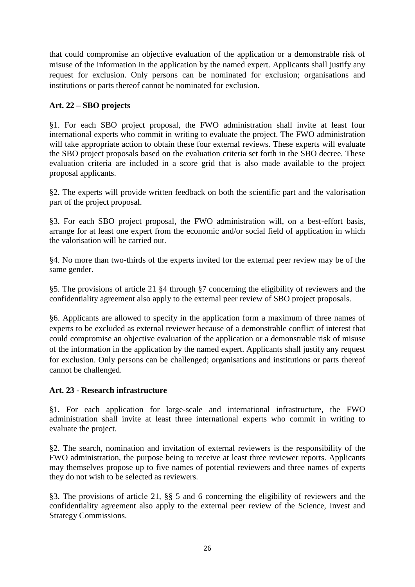that could compromise an objective evaluation of the application or a demonstrable risk of misuse of the information in the application by the named expert. Applicants shall justify any request for exclusion. Only persons can be nominated for exclusion; organisations and institutions or parts thereof cannot be nominated for exclusion.

#### **Art. 22 – SBO projects**

§1. For each SBO project proposal, the FWO administration shall invite at least four international experts who commit in writing to evaluate the project. The FWO administration will take appropriate action to obtain these four external reviews. These experts will evaluate the SBO project proposals based on the evaluation criteria set forth in the SBO decree. These evaluation criteria are included in a score grid that is also made available to the project proposal applicants.

§2. The experts will provide written feedback on both the scientific part and the valorisation part of the project proposal.

§3. For each SBO project proposal, the FWO administration will, on a best-effort basis, arrange for at least one expert from the economic and/or social field of application in which the valorisation will be carried out.

§4. No more than two-thirds of the experts invited for the external peer review may be of the same gender.

§5. The provisions of article 21 §4 through §7 concerning the eligibility of reviewers and the confidentiality agreement also apply to the external peer review of SBO project proposals.

§6. Applicants are allowed to specify in the application form a maximum of three names of experts to be excluded as external reviewer because of a demonstrable conflict of interest that could compromise an objective evaluation of the application or a demonstrable risk of misuse of the information in the application by the named expert. Applicants shall justify any request for exclusion. Only persons can be challenged; organisations and institutions or parts thereof cannot be challenged.

#### **Art. 23 - Research infrastructure**

§1. For each application for large-scale and international infrastructure, the FWO administration shall invite at least three international experts who commit in writing to evaluate the project.

§2. The search, nomination and invitation of external reviewers is the responsibility of the FWO administration, the purpose being to receive at least three reviewer reports. Applicants may themselves propose up to five names of potential reviewers and three names of experts they do not wish to be selected as reviewers.

§3. The provisions of article 21, §§ 5 and 6 concerning the eligibility of reviewers and the confidentiality agreement also apply to the external peer review of the Science, Invest and Strategy Commissions.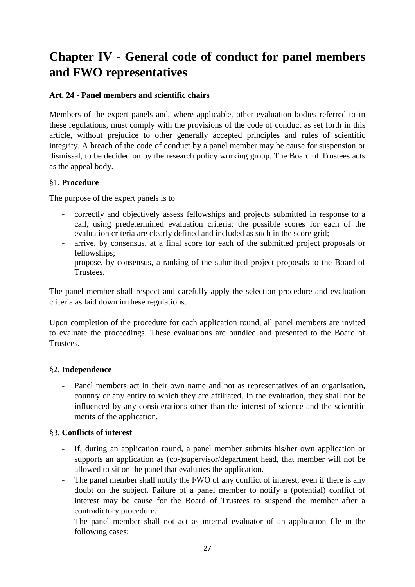# **Chapter IV - General code of conduct for panel members and FWO representatives**

#### **Art. 24 - Panel members and scientific chairs**

Members of the expert panels and, where applicable, other evaluation bodies referred to in these regulations, must comply with the provisions of the code of conduct as set forth in this article, without prejudice to other generally accepted principles and rules of scientific integrity. A breach of the code of conduct by a panel member may be cause for suspension or dismissal, to be decided on by the research policy working group. The Board of Trustees acts as the appeal body.

#### §1. **Procedure**

The purpose of the expert panels is to

- correctly and objectively assess fellowships and projects submitted in response to a call, using predetermined evaluation criteria; the possible scores for each of the evaluation criteria are clearly defined and included as such in the score grid;
- arrive, by consensus, at a final score for each of the submitted project proposals or fellowships;
- propose, by consensus, a ranking of the submitted project proposals to the Board of Trustees.

The panel member shall respect and carefully apply the selection procedure and evaluation criteria as laid down in these regulations.

Upon completion of the procedure for each application round, all panel members are invited to evaluate the proceedings. These evaluations are bundled and presented to the Board of Trustees.

#### §2. **Independence**

- Panel members act in their own name and not as representatives of an organisation, country or any entity to which they are affiliated. In the evaluation, they shall not be influenced by any considerations other than the interest of science and the scientific merits of the application.

#### §3. **Conflicts of interest**

- If, during an application round, a panel member submits his/her own application or supports an application as (co-)supervisor/department head, that member will not be allowed to sit on the panel that evaluates the application.
- The panel member shall notify the FWO of any conflict of interest, even if there is any doubt on the subject. Failure of a panel member to notify a (potential) conflict of interest may be cause for the Board of Trustees to suspend the member after a contradictory procedure.
- The panel member shall not act as internal evaluator of an application file in the following cases: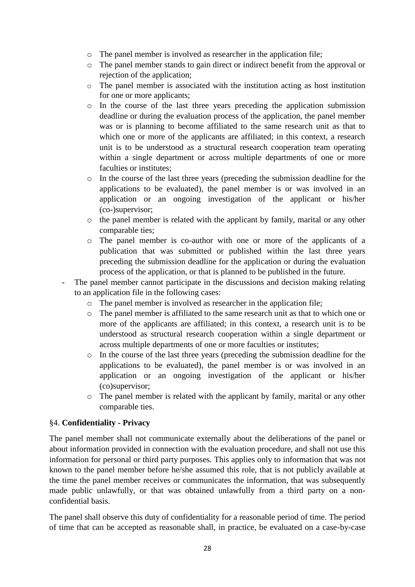- o The panel member is involved as researcher in the application file;
- o The panel member stands to gain direct or indirect benefit from the approval or rejection of the application;
- o The panel member is associated with the institution acting as host institution for one or more applicants;
- o In the course of the last three years preceding the application submission deadline or during the evaluation process of the application, the panel member was or is planning to become affiliated to the same research unit as that to which one or more of the applicants are affiliated; in this context, a research unit is to be understood as a structural research cooperation team operating within a single department or across multiple departments of one or more faculties or institutes;
- o In the course of the last three years (preceding the submission deadline for the applications to be evaluated), the panel member is or was involved in an application or an ongoing investigation of the applicant or his/her (co-)supervisor;
- o the panel member is related with the applicant by family, marital or any other comparable ties;
- o The panel member is co-author with one or more of the applicants of a publication that was submitted or published within the last three years preceding the submission deadline for the application or during the evaluation process of the application, or that is planned to be published in the future.
- The panel member cannot participate in the discussions and decision making relating to an application file in the following cases:
	- o The panel member is involved as researcher in the application file;
	- o The panel member is affiliated to the same research unit as that to which one or more of the applicants are affiliated; in this context, a research unit is to be understood as structural research cooperation within a single department or across multiple departments of one or more faculties or institutes;
	- o In the course of the last three years (preceding the submission deadline for the applications to be evaluated), the panel member is or was involved in an application or an ongoing investigation of the applicant or his/her (co)supervisor;
	- o The panel member is related with the applicant by family, marital or any other comparable ties.

#### §4. **Confidentiality - Privacy**

The panel member shall not communicate externally about the deliberations of the panel or about information provided in connection with the evaluation procedure, and shall not use this information for personal or third party purposes. This applies only to information that was not known to the panel member before he/she assumed this role, that is not publicly available at the time the panel member receives or communicates the information, that was subsequently made public unlawfully, or that was obtained unlawfully from a third party on a nonconfidential basis.

The panel shall observe this duty of confidentiality for a reasonable period of time. The period of time that can be accepted as reasonable shall, in practice, be evaluated on a case-by-case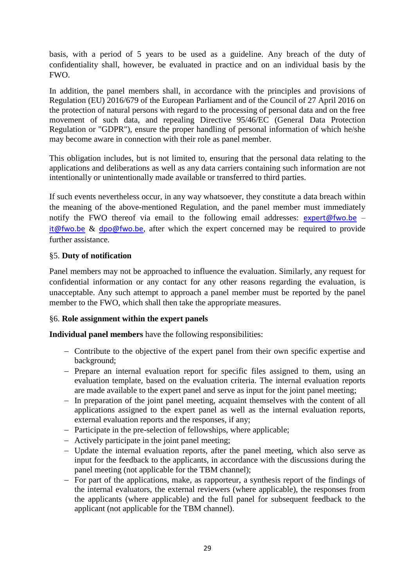basis, with a period of 5 years to be used as a guideline. Any breach of the duty of confidentiality shall, however, be evaluated in practice and on an individual basis by the FWO.

In addition, the panel members shall, in accordance with the principles and provisions of Regulation (EU) 2016/679 of the European Parliament and of the Council of 27 April 2016 on the protection of natural persons with regard to the processing of personal data and on the free movement of such data, and repealing Directive 95/46/EC (General Data Protection Regulation or "GDPR"), ensure the proper handling of personal information of which he/she may become aware in connection with their role as panel member.

This obligation includes, but is not limited to, ensuring that the personal data relating to the applications and deliberations as well as any data carriers containing such information are not intentionally or unintentionally made available or transferred to third parties.

If such events nevertheless occur, in any way whatsoever, they constitute a data breach within the meaning of the above-mentioned Regulation, and the panel member must immediately notify the FWO thereof via email to the following email addresses:  $\frac{expect@fwo.be}{}$  – [it@fwo.be](mailto:it@fwo.be) & [dpo@fwo.be](mailto:dpo@fwo.be), after which the expert concerned may be required to provide further assistance.

#### §5. **Duty of notification**

Panel members may not be approached to influence the evaluation. Similarly, any request for confidential information or any contact for any other reasons regarding the evaluation, is unacceptable. Any such attempt to approach a panel member must be reported by the panel member to the FWO, which shall then take the appropriate measures.

#### §6. **Role assignment within the expert panels**

**Individual panel members** have the following responsibilities:

- Contribute to the objective of the expert panel from their own specific expertise and background;
- Prepare an internal evaluation report for specific files assigned to them, using an evaluation template, based on the evaluation criteria. The internal evaluation reports are made available to the expert panel and serve as input for the joint panel meeting;
- In preparation of the joint panel meeting, acquaint themselves with the content of all applications assigned to the expert panel as well as the internal evaluation reports, external evaluation reports and the responses, if any;
- Participate in the pre-selection of fellowships, where applicable;
- Actively participate in the joint panel meeting;
- Update the internal evaluation reports, after the panel meeting, which also serve as input for the feedback to the applicants, in accordance with the discussions during the panel meeting (not applicable for the TBM channel);
- For part of the applications, make, as rapporteur, a synthesis report of the findings of the internal evaluators, the external reviewers (where applicable), the responses from the applicants (where applicable) and the full panel for subsequent feedback to the applicant (not applicable for the TBM channel).